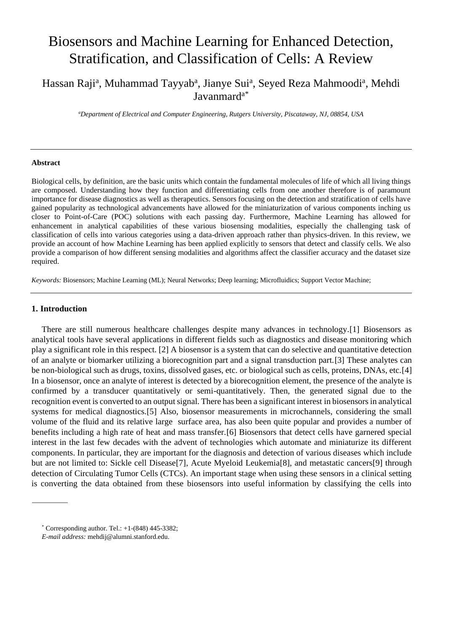# Biosensors and Machine Learning for Enhanced Detection, Stratification, and Classification of Cells: A Review

# Hassan Raji<sup>a</sup>, Muhammad Tayyab<sup>a</sup>, Jianye Sui<sup>a</sup>, Seyed Reza Mahmoodi<sup>a</sup>, Mehdi Javanmard<sup>a\*</sup>

*<sup>a</sup>Department of Electrical and Computer Engineering, Rutgers University, Piscataway, NJ, 08854, USA*

#### **Abstract**

Biological cells, by definition, are the basic units which contain the fundamental molecules of life of which all living things are composed. Understanding how they function and differentiating cells from one another therefore is of paramount importance for disease diagnostics as well as therapeutics. Sensors focusing on the detection and stratification of cells have gained popularity as technological advancements have allowed for the miniaturization of various components inching us closer to Point-of-Care (POC) solutions with each passing day. Furthermore, Machine Learning has allowed for enhancement in analytical capabilities of these various biosensing modalities, especially the challenging task of classification of cells into various categories using a data-driven approach rather than physics-driven. In this review, we provide an account of how Machine Learning has been applied explicitly to sensors that detect and classify cells. We also provide a comparison of how different sensing modalities and algorithms affect the classifier accuracy and the dataset size required.

*Keywords:* Biosensors; Machine Learning (ML); Neural Networks; Deep learning; Microfluidics; Support Vector Machine;

#### **1. Introduction**

There are still numerous healthcare challenges despite many advances in technology.[1] Biosensors as analytical tools have several applications in different fields such as diagnostics and disease monitoring which play a significant role in this respect. [2] A biosensor is a system that can do selective and quantitative detection of an analyte or biomarker utilizing a biorecognition part and a signal transduction part.[3] These analytes can be non-biological such as drugs, toxins, dissolved gases, etc. or biological such as cells, proteins, DNAs, etc.[4] In a biosensor, once an analyte of interest is detected by a biorecognition element, the presence of the analyte is confirmed by a transducer quantitatively or semi-quantitatively. Then, the generated signal due to the recognition event is converted to an output signal. There has been a significant interest in biosensors in analytical systems for medical diagnostics.[5] Also, biosensor measurements in microchannels, considering the small volume of the fluid and its relative large surface area, has also been quite popular and provides a number of benefits including a high rate of heat and mass transfer.[6] Biosensors that detect cells have garnered special interest in the last few decades with the advent of technologies which automate and miniaturize its different components. In particular, they are important for the diagnosis and detection of various diseases which include but are not limited to: Sickle cell Disease<sup>[7]</sup>, Acute Myeloid Leukemia<sup>[8]</sup>, and metastatic cancers<sup>[9]</sup> through detection of Circulating Tumor Cells (CTCs). An important stage when using these sensors in a clinical setting is converting the data obtained from these biosensors into useful information by classifying the cells into

 $*$  Corresponding author. Tel.:  $+1-(848)$  445-3382;

*E-mail address:* mehdij@alumni.stanford.edu.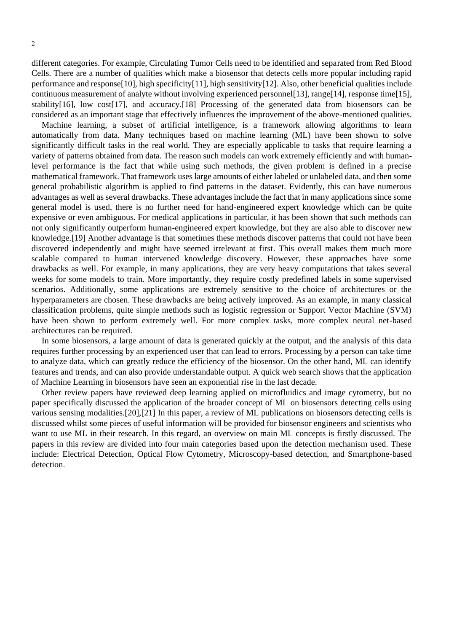different categories. For example, Circulating Tumor Cells need to be identified and separated from Red Blood Cells. There are a number of qualities which make a biosensor that detects cells more popular including rapid performance and response[10], high specificity[11], high sensitivity[12]. Also, other beneficial qualities include continuous measurement of analyte without involving experienced personnel[13], range[14], response time[15], stability[16], low cost[17], and accuracy.[18] Processing of the generated data from biosensors can be considered as an important stage that effectively influences the improvement of the above-mentioned qualities.

Machine learning, a subset of artificial intelligence, is a framework allowing algorithms to learn automatically from data. Many techniques based on machine learning (ML) have been shown to solve significantly difficult tasks in the real world. They are especially applicable to tasks that require learning a variety of patterns obtained from data. The reason such models can work extremely efficiently and with humanlevel performance is the fact that while using such methods, the given problem is defined in a precise mathematical framework. That framework uses large amounts of either labeled or unlabeled data, and then some general probabilistic algorithm is applied to find patterns in the dataset. Evidently, this can have numerous advantages as well as several drawbacks. These advantages include the fact that in many applications since some general model is used, there is no further need for hand-engineered expert knowledge which can be quite expensive or even ambiguous. For medical applications in particular, it has been shown that such methods can not only significantly outperform human-engineered expert knowledge, but they are also able to discover new knowledge.[19] Another advantage is that sometimes these methods discover patterns that could not have been discovered independently and might have seemed irrelevant at first. This overall makes them much more scalable compared to human intervened knowledge discovery. However, these approaches have some drawbacks as well. For example, in many applications, they are very heavy computations that takes several weeks for some models to train. More importantly, they require costly predefined labels in some supervised scenarios. Additionally, some applications are extremely sensitive to the choice of architectures or the hyperparameters are chosen. These drawbacks are being actively improved. As an example, in many classical classification problems, quite simple methods such as logistic regression or Support Vector Machine (SVM) have been shown to perform extremely well. For more complex tasks, more complex neural net-based architectures can be required.

In some biosensors, a large amount of data is generated quickly at the output, and the analysis of this data requires further processing by an experienced user that can lead to errors. Processing by a person can take time to analyze data, which can greatly reduce the efficiency of the biosensor. On the other hand, ML can identify features and trends, and can also provide understandable output. A quick web search shows that the application of Machine Learning in biosensors have seen an exponential rise in the last decade.

Other review papers have reviewed deep learning applied on microfluidics and image cytometry, but no paper specifically discussed the application of the broader concept of ML on biosensors detecting cells using various sensing modalities.[20],[21] In this paper, a review of ML publications on biosensors detecting cells is discussed whilst some pieces of useful information will be provided for biosensor engineers and scientists who want to use ML in their research. In this regard, an overview on main ML concepts is firstly discussed. The papers in this review are divided into four main categories based upon the detection mechanism used. These include: Electrical Detection, Optical Flow Cytometry, Microscopy-based detection, and Smartphone-based detection.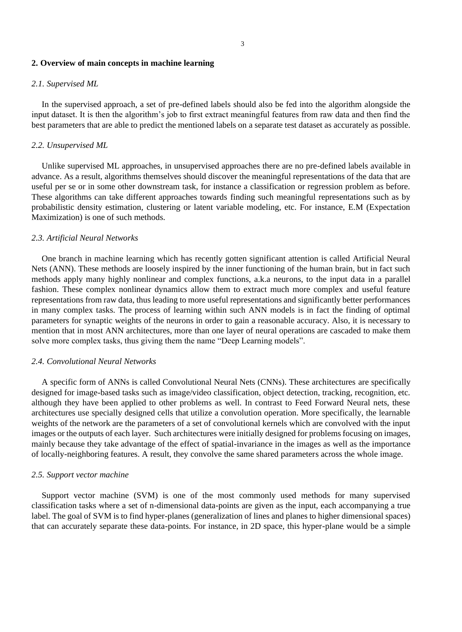# **2. Overview of main concepts in machine learning**

#### *2.1. Supervised ML*

In the supervised approach, a set of pre-defined labels should also be fed into the algorithm alongside the input dataset. It is then the algorithm's job to first extract meaningful features from raw data and then find the best parameters that are able to predict the mentioned labels on a separate test dataset as accurately as possible.

### *2.2. Unsupervised ML*

Unlike supervised ML approaches, in unsupervised approaches there are no pre-defined labels available in advance. As a result, algorithms themselves should discover the meaningful representations of the data that are useful per se or in some other downstream task, for instance a classification or regression problem as before. These algorithms can take different approaches towards finding such meaningful representations such as by probabilistic density estimation, clustering or latent variable modeling, etc. For instance, E.M (Expectation Maximization) is one of such methods.

### *2.3. Artificial Neural Networks*

One branch in machine learning which has recently gotten significant attention is called Artificial Neural Nets (ANN). These methods are loosely inspired by the inner functioning of the human brain, but in fact such methods apply many highly nonlinear and complex functions, a.k.a neurons, to the input data in a parallel fashion. These complex nonlinear dynamics allow them to extract much more complex and useful feature representations from raw data, thus leading to more useful representations and significantly better performances in many complex tasks. The process of learning within such ANN models is in fact the finding of optimal parameters for synaptic weights of the neurons in order to gain a reasonable accuracy. Also, it is necessary to mention that in most ANN architectures, more than one layer of neural operations are cascaded to make them solve more complex tasks, thus giving them the name "Deep Learning models".

#### *2.4. Convolutional Neural Networks*

A specific form of ANNs is called Convolutional Neural Nets (CNNs). These architectures are specifically designed for image-based tasks such as image/video classification, object detection, tracking, recognition, etc. although they have been applied to other problems as well. In contrast to Feed Forward Neural nets, these architectures use specially designed cells that utilize a convolution operation. More specifically, the learnable weights of the network are the parameters of a set of convolutional kernels which are convolved with the input images or the outputs of each layer. Such architectures were initially designed for problems focusing on images, mainly because they take advantage of the effect of spatial-invariance in the images as well as the importance of locally-neighboring features. A result, they convolve the same shared parameters across the whole image.

# *2.5. Support vector machine*

Support vector machine (SVM) is one of the most commonly used methods for many supervised classification tasks where a set of n-dimensional data-points are given as the input, each accompanying a true label. The goal of SVM is to find hyper-planes (generalization of lines and planes to higher dimensional spaces) that can accurately separate these data-points. For instance, in 2D space, this hyper-plane would be a simple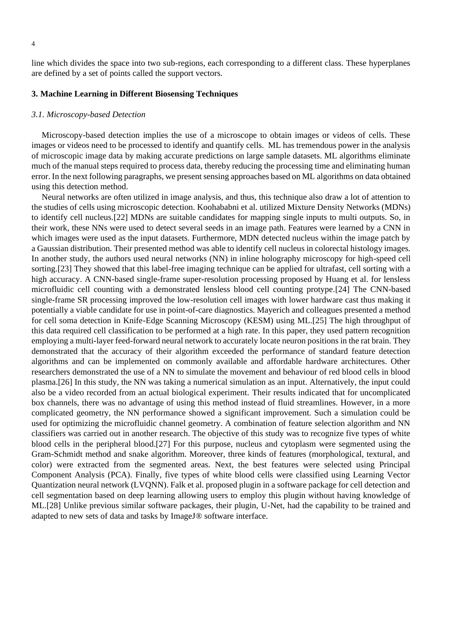line which divides the space into two sub-regions, each corresponding to a different class. These hyperplanes are defined by a set of points called the support vectors.

# **3. Machine Learning in Different Biosensing Techniques**

#### *3.1. Microscopy-based Detection*

Microscopy-based detection implies the use of a microscope to obtain images or videos of cells. These images or videos need to be processed to identify and quantify cells. ML has tremendous power in the analysis of microscopic image data by making accurate predictions on large sample datasets. ML algorithms eliminate much of the manual steps required to process data, thereby reducing the processing time and eliminating human error. In the next following paragraphs, we present sensing approaches based on ML algorithms on data obtained using this detection method.

Neural networks are often utilized in image analysis, and thus, this technique also draw a lot of attention to the studies of cells using microscopic detection. Koohababni et al. utilized Mixture Density Networks (MDNs) to identify cell nucleus.[22] MDNs are suitable candidates for mapping single inputs to multi outputs. So, in their work, these NNs were used to detect several seeds in an image path. Features were learned by a CNN in which images were used as the input datasets. Furthermore, MDN detected nucleus within the image patch by a Gaussian distribution. Their presented method was able to identify cell nucleus in colorectal histology images. In another study, the authors used neural networks (NN) in inline holography microscopy for high-speed cell sorting.[23] They showed that this label-free imaging technique can be applied for ultrafast, cell sorting with a high accuracy. A CNN-based single-frame super-resolution processing proposed by Huang et al. for lensless microfluidic cell counting with a demonstrated lensless blood cell counting protype.[24] The CNN-based single-frame SR processing improved the low-resolution cell images with lower hardware cast thus making it potentially a viable candidate for use in point-of-care diagnostics. Mayerich and colleagues presented a method for cell soma detection in Knife-Edge Scanning Microscopy (KESM) using ML.[25] The high throughput of this data required cell classification to be performed at a high rate. In this paper, they used pattern recognition employing a multi-layer feed-forward neural network to accurately locate neuron positions in the rat brain. They demonstrated that the accuracy of their algorithm exceeded the performance of standard feature detection algorithms and can be implemented on commonly available and affordable hardware architectures. Other researchers demonstrated the use of a NN to simulate the movement and behaviour of red blood cells in blood plasma.[26] In this study, the NN was taking a numerical simulation as an input. Alternatively, the input could also be a video recorded from an actual biological experiment. Their results indicated that for uncomplicated box channels, there was no advantage of using this method instead of fluid streamlines. However, in a more complicated geometry, the NN performance showed a significant improvement. Such a simulation could be used for optimizing the microfluidic channel geometry. A combination of feature selection algorithm and NN classifiers was carried out in another research. The objective of this study was to recognize five types of white blood cells in the peripheral blood.[27] For this purpose, nucleus and cytoplasm were segmented using the Gram-Schmidt method and snake algorithm. Moreover, three kinds of features (morphological, textural, and color) were extracted from the segmented areas. Next, the best features were selected using Principal Component Analysis (PCA). Finally, five types of white blood cells were classified using Learning Vector Quantization neural network (LVQNN). Falk et al. proposed plugin in a software package for cell detection and cell segmentation based on deep learning allowing users to employ this plugin without having knowledge of ML.[28] Unlike previous similar software packages, their plugin, U-Net, had the capability to be trained and adapted to new sets of data and tasks by ImageJ® software interface.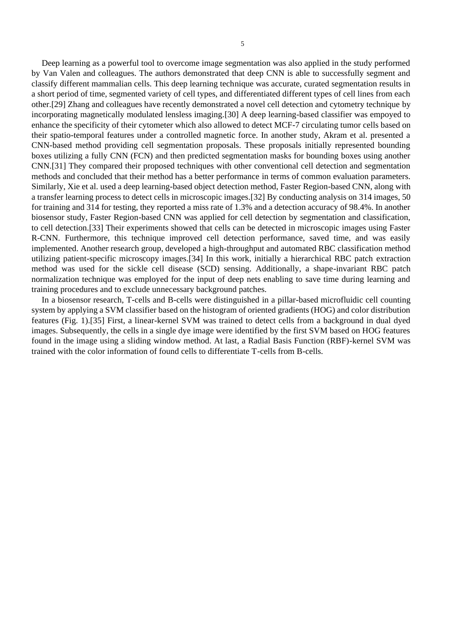Deep learning as a powerful tool to overcome image segmentation was also applied in the study performed by Van Valen and colleagues. The authors demonstrated that deep CNN is able to successfully segment and classify different mammalian cells. This deep learning technique was accurate, curated segmentation results in a short period of time, segmented variety of cell types, and differentiated different types of cell lines from each other.[29] Zhang and colleagues have recently demonstrated a novel cell detection and cytometry technique by incorporating magnetically modulated lensless imaging.[30] A deep learning-based classifier was empoyed to enhance the specificity of their cytometer which also allowed to detect MCF-7 circulating tumor cells based on their spatio-temporal features under a controlled magnetic force. In another study, Akram et al. presented a CNN-based method providing cell segmentation proposals. These proposals initially represented bounding boxes utilizing a fully CNN (FCN) and then predicted segmentation masks for bounding boxes using another CNN.[31] They compared their proposed techniques with other conventional cell detection and segmentation methods and concluded that their method has a better performance in terms of common evaluation parameters. Similarly, Xie et al. used a deep learning-based object detection method, Faster Region-based CNN, along with a transfer learning process to detect cells in microscopic images.[32] By conducting analysis on 314 images, 50 for training and 314 for testing, they reported a miss rate of 1.3% and a detection accuracy of 98.4%. In another biosensor study, Faster Region-based CNN was applied for cell detection by segmentation and classification, to cell detection.[33] Their experiments showed that cells can be detected in microscopic images using Faster R-CNN. Furthermore, this technique improved cell detection performance, saved time, and was easily implemented. Another research group, developed a high-throughput and automated RBC classification method utilizing patient-specific microscopy images.[34] In this work, initially a hierarchical RBC patch extraction method was used for the sickle cell disease (SCD) sensing. Additionally, a shape-invariant RBC patch normalization technique was employed for the input of deep nets enabling to save time during learning and training procedures and to exclude unnecessary background patches.

In a biosensor research, T-cells and B-cells were distinguished in a pillar-based microfluidic cell counting system by applying a SVM classifier based on the histogram of oriented gradients (HOG) and color distribution features (Fig. 1).[35] First, a linear-kernel SVM was trained to detect cells from a background in dual dyed images. Subsequently, the cells in a single dye image were identified by the first SVM based on HOG features found in the image using a sliding window method. At last, a Radial Basis Function (RBF)-kernel SVM was trained with the color information of found cells to differentiate T-cells from B-cells.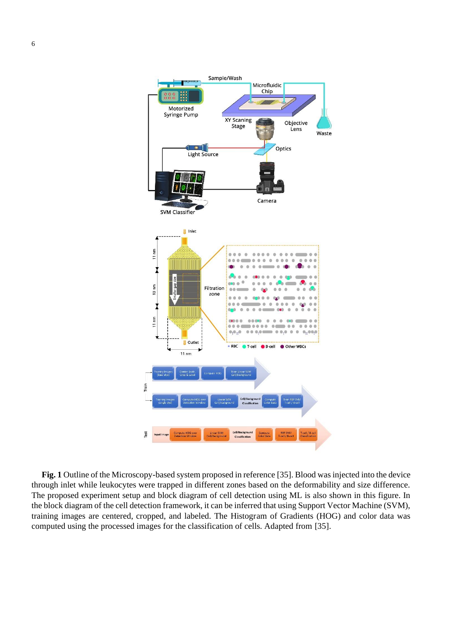

**Fig. 1** Outline of the Microscopy-based system proposed in reference [35]. Blood was injected into the device through inlet while leukocytes were trapped in different zones based on the deformability and size difference. The proposed experiment setup and block diagram of cell detection using ML is also shown in this figure. In the block diagram of the cell detection framework, it can be inferred that using Support Vector Machine (SVM), training images are centered, cropped, and labeled. The Histogram of Gradients (HOG) and color data was computed using the processed images for the classification of cells. Adapted from [35].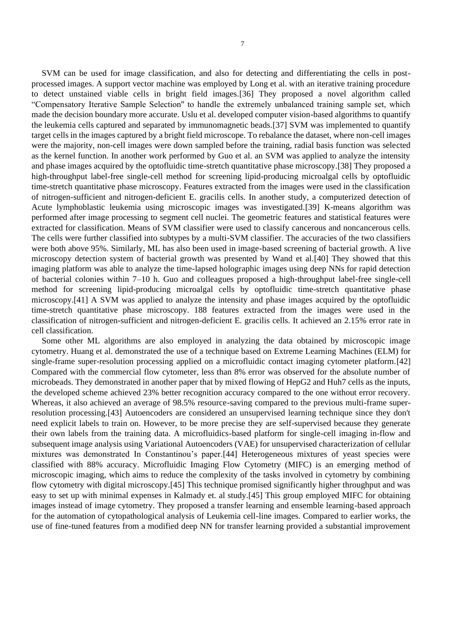SVM can be used for image classification, and also for detecting and differentiating the cells in postprocessed images. A support vector machine was employed by Long et al. with an iterative training procedure to detect unstained viable cells in bright field images.[36] They proposed a novel algorithm called "Compensatory Iterative Sample Selection'' to handle the extremely unbalanced training sample set, which made the decision boundary more accurate. Uslu et al. developed computer vision-based algorithms to quantify the leukemia cells captured and separated by immunomagnetic beads.[37] SVM was implemented to quantify target cells in the images captured by a bright field microscope. To rebalance the dataset, where non-cell images were the majority, non-cell images were down sampled before the training, radial basis function was selected as the kernel function. In another work performed by Guo et al. an SVM was applied to analyze the intensity and phase images acquired by the optofluidic time-stretch quantitative phase microscopy.[38] They proposed a high-throughput label-free single-cell method for screening lipid-producing microalgal cells by optofluidic time-stretch quantitative phase microscopy. Features extracted from the images were used in the classification of nitrogen-sufficient and nitrogen-deficient E. gracilis cells. In another study, a computerized detection of Acute lymphoblastic leukemia using microscopic images was investigated.[39] K-means algorithm was performed after image processing to segment cell nuclei. The geometric features and statistical features were extracted for classification. Means of SVM classifier were used to classify cancerous and noncancerous cells. The cells were further classified into subtypes by a multi-SVM classifier. The accuracies of the two classifiers were both above 95%. Similarly, ML has also been used in image-based screening of bacterial growth. A live microscopy detection system of bacterial growth was presented by Wand et al.[40] They showed that this imaging platform was able to analyze the time-lapsed holographic images using deep NNs for rapid detection of bacterial colonies within 7–10 h. Guo and colleagues proposed a high-throughput label-free single-cell method for screening lipid-producing microalgal cells by optofluidic time-stretch quantitative phase microscopy.[41] A SVM was applied to analyze the intensity and phase images acquired by the optofluidic time-stretch quantitative phase microscopy. 188 features extracted from the images were used in the classification of nitrogen-sufficient and nitrogen-deficient E. gracilis cells. It achieved an 2.15% error rate in cell classification.

Some other ML algorithms are also employed in analyzing the data obtained by microscopic image cytometry. Huang et al. demonstrated the use of a technique based on Extreme Learning Machines (ELM) for single-frame super-resolution processing applied on a microfluidic contact imaging cytometer platform.[42] Compared with the commercial flow cytometer, less than 8% error was observed for the absolute number of microbeads. They demonstrated in another paper that by mixed flowing of HepG2 and Huh7 cells as the inputs, the developed scheme achieved 23% better recognition accuracy compared to the one without error recovery. Whereas, it also achieved an average of 98.5% resource-saving compared to the previous multi-frame superresolution processing.[43] Autoencoders are considered an unsupervised learning technique since they don't need explicit labels to train on. However, to be more precise they are self-supervised because they generate their own labels from the training data. A microfluidics-based platform for single-cell imaging in-flow and subsequent image analysis using Variational Autoencoders (VAE) for unsupervised characterization of cellular mixtures was demonstrated In Constantinou's paper.[44] Heterogeneous mixtures of yeast species were classified with 88% accuracy. Microfluidic Imaging Flow Cytometry (MIFC) is an emerging method of microscopic imaging, which aims to reduce the complexity of the tasks involved in cytometry by combining flow cytometry with digital microscopy.[45] This technique promised significantly higher throughput and was easy to set up with minimal expenses in Kalmady et. al study.[45] This group employed MIFC for obtaining images instead of image cytometry. They proposed a transfer learning and ensemble learning-based approach for the automation of cytopathological analysis of Leukemia cell-line images. Compared to earlier works, the use of fine-tuned features from a modified deep NN for transfer learning provided a substantial improvement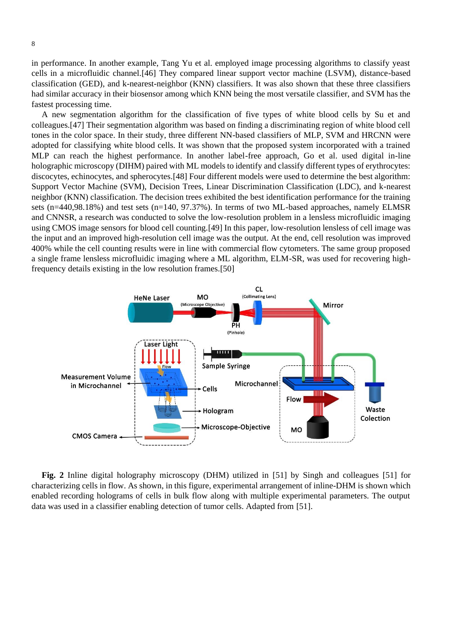in performance. In another example, Tang Yu et al. employed image processing algorithms to classify yeast cells in a microfluidic channel.[46] They compared linear support vector machine (LSVM), distance-based classification (GED), and k-nearest-neighbor (KNN) classifiers. It was also shown that these three classifiers had similar accuracy in their biosensor among which KNN being the most versatile classifier, and SVM has the fastest processing time.

A new segmentation algorithm for the classification of five types of white blood cells by Su et and colleagues.[47] Their segmentation algorithm was based on finding a discriminating region of white blood cell tones in the color space. In their study, three different NN-based classifiers of MLP, SVM and HRCNN were adopted for classifying white blood cells. It was shown that the proposed system incorporated with a trained MLP can reach the highest performance. In another label-free approach, Go et al. used digital in-line holographic microscopy (DIHM) paired with ML models to identify and classify different types of erythrocytes: discocytes, echinocytes, and spherocytes.[48] Four different models were used to determine the best algorithm: Support Vector Machine (SVM), Decision Trees, Linear Discrimination Classification (LDC), and k-nearest neighbor (KNN) classification. The decision trees exhibited the best identification performance for the training sets (n=440,98.18%) and test sets (n=140, 97.37%). In terms of two ML-based approaches, namely ELMSR and CNNSR, a research was conducted to solve the low-resolution problem in a lensless microfluidic imaging using CMOS image sensors for blood cell counting.[49] In this paper, low-resolution lensless of cell image was the input and an improved high-resolution cell image was the output. At the end, cell resolution was improved 400% while the cell counting results were in line with commercial flow cytometers. The same group proposed a single frame lensless microfluidic imaging where a ML algorithm, ELM-SR, was used for recovering highfrequency details existing in the low resolution frames.[50]



**Fig. 2** Inline digital holography microscopy (DHM) utilized in [51] by Singh and colleagues [51] for characterizing cells in flow. As shown, in this figure, experimental arrangement of inline-DHM is shown which enabled recording holograms of cells in bulk flow along with multiple experimental parameters. The output data was used in a classifier enabling detection of tumor cells. Adapted from [51].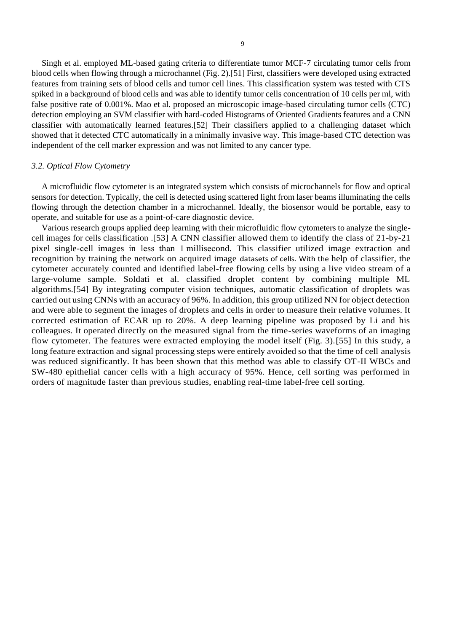Singh et al. employed ML-based gating criteria to differentiate tumor MCF-7 circulating tumor cells from blood cells when flowing through a microchannel (Fig. 2).[51] First, classifiers were developed using extracted features from training sets of blood cells and tumor cell lines. This classification system was tested with CTS spiked in a background of blood cells and was able to identify tumor cells concentration of 10 cells per ml, with false positive rate of 0.001%. Mao et al. proposed an microscopic image-based circulating tumor cells (CTC) detection employing an SVM classifier with hard-coded Histograms of Oriented Gradients features and a CNN classifier with automatically learned features.[52] Their classifiers applied to a challenging dataset which showed that it detected CTC automatically in a minimally invasive way. This image-based CTC detection was independent of the cell marker expression and was not limited to any cancer type.

#### *3.2. Optical Flow Cytometry*

A microfluidic flow cytometer is an integrated system which consists of microchannels for flow and optical sensors for detection. Typically, the cell is detected using scattered light from laser beams illuminating the cells flowing through the detection chamber in a microchannel. Ideally, the biosensor would be portable, easy to operate, and suitable for use as a point-of-care diagnostic device.

Various research groups applied deep learning with their microfluidic flow cytometers to analyze the singlecell images for cells classification .[53] A CNN classifier allowed them to identify the class of 21-by-21 pixel single-cell images in less than 1 millisecond. This classifier utilized image extraction and recognition by training the network on acquired image datasets of cells. With the help of classifier, the cytometer accurately counted and identified label-free flowing cells by using a live video stream of a large-volume sample. Soldati et al. classified droplet content by combining multiple ML algorithms.[54] By integrating computer vision techniques, automatic classification of droplets was carried out using CNNs with an accuracy of 96%. In addition, this group utilized NN for object detection and were able to segment the images of droplets and cells in order to measure their relative volumes. It corrected estimation of ECAR up to 20%. A deep learning pipeline was proposed by Li and his colleagues. It operated directly on the measured signal from the time-series waveforms of an imaging flow cytometer. The features were extracted employing the model itself (Fig. 3).[55] In this study, a long feature extraction and signal processing steps were entirely avoided so that the time of cell analysis was reduced significantly. It has been shown that this method was able to classify OT-II WBCs and SW-480 epithelial cancer cells with a high accuracy of 95%. Hence, cell sorting was performed in orders of magnitude faster than previous studies, enabling real-time label-free cell sorting.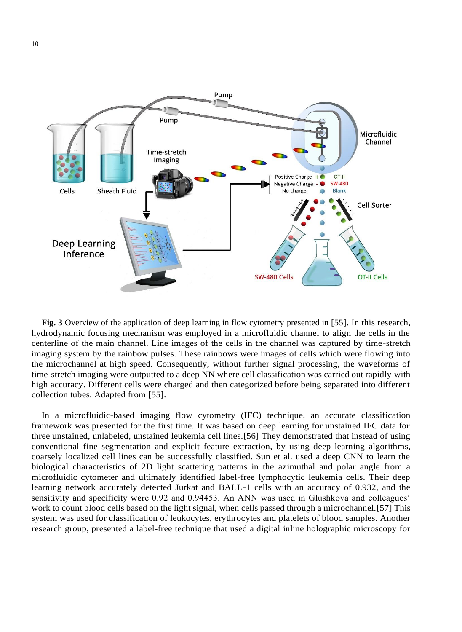

**Fig. 3** Overview of the application of deep learning in flow cytometry presented in [55]. In this research, hydrodynamic focusing mechanism was employed in a microfluidic channel to align the cells in the centerline of the main channel. Line images of the cells in the channel was captured by time-stretch imaging system by the rainbow pulses. These rainbows were images of cells which were flowing into the microchannel at high speed. Consequently, without further signal processing, the waveforms of time-stretch imaging were outputted to a deep NN where cell classification was carried out rapidly with high accuracy. Different cells were charged and then categorized before being separated into different collection tubes. Adapted from [55].

In a microfluidic-based imaging flow cytometry (IFC) technique, an accurate classification framework was presented for the first time. It was based on deep learning for unstained IFC data for three unstained, unlabeled, unstained leukemia cell lines.[56] They demonstrated that instead of using conventional fine segmentation and explicit feature extraction, by using deep-learning algorithms, coarsely localized cell lines can be successfully classified. Sun et al. used a deep CNN to learn the biological characteristics of 2D light scattering patterns in the azimuthal and polar angle from a microfluidic cytometer and ultimately identified label-free lymphocytic leukemia cells. Their deep learning network accurately detected Jurkat and BALL-1 cells with an accuracy of 0.932, and the sensitivity and specificity were 0.92 and 0.94453. An ANN was used in Glushkova and colleagues' work to count blood cells based on the light signal, when cells passed through a microchannel.[57] This system was used for classification of leukocytes, erythrocytes and platelets of blood samples. Another research group, presented a label-free technique that used a digital inline holographic microscopy for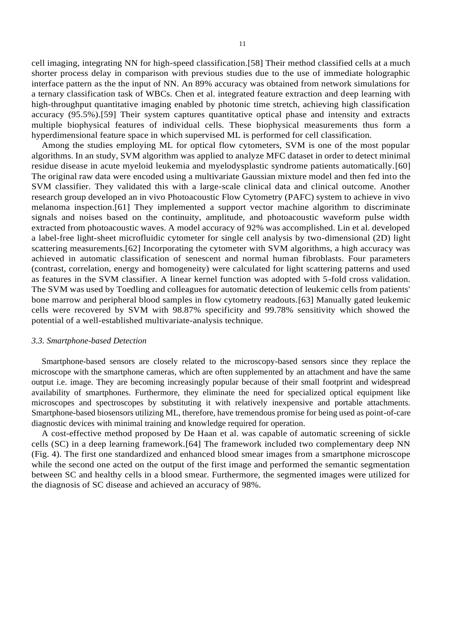cell imaging, integrating NN for high-speed classification.[58] Their method classified cells at a much shorter process delay in comparison with previous studies due to the use of immediate holographic interface pattern as the the input of NN. An 89% accuracy was obtained from network simulations for a ternary classification task of WBCs. Chen et al. integrated feature extraction and deep learning with high-throughput quantitative imaging enabled by photonic time stretch, achieving high classification accuracy (95.5%).[59] Their system captures quantitative optical phase and intensity and extracts multiple biophysical features of individual cells. These biophysical measurements thus form a hyperdimensional feature space in which supervised ML is performed for cell classification.

Among the studies employing ML for optical flow cytometers, SVM is one of the most popular algorithms. In an study, SVM algorithm was applied to analyze MFC dataset in order to detect minimal residue disease in acute myeloid leukemia and myelodysplastic syndrome patients automatically.[60] The original raw data were encoded using a multivariate Gaussian mixture model and then fed into the SVM classifier. They validated this with a large-scale clinical data and clinical outcome. Another research group developed an in vivo Photoacoustic Flow Cytometry (PAFC) system to achieve in vivo melanoma inspection.[61] They implemented a support vector machine algorithm to discriminate signals and noises based on the continuity, amplitude, and photoacoustic waveform pulse width extracted from photoacoustic waves. A model accuracy of 92% was accomplished. Lin et al. developed a label-free light-sheet microfluidic cytometer for single cell analysis by two-dimensional (2D) light scattering measurements.[62] Incorporating the cytometer with SVM algorithms, a high accuracy was achieved in automatic classification of senescent and normal human fibroblasts. Four parameters (contrast, correlation, energy and homogeneity) were calculated for light scattering patterns and used as features in the SVM classifier. A linear kernel function was adopted with 5-fold cross validation. The SVM was used by Toedling and colleagues for automatic detection of leukemic cells from patients' bone marrow and peripheral blood samples in flow cytometry readouts.[63] Manually gated leukemic cells were recovered by SVM with 98.87% specificity and 99.78% sensitivity which showed the potential of a well-established multivariate-analysis technique.

#### *3.3. Smartphone-based Detection*

Smartphone-based sensors are closely related to the microscopy-based sensors since they replace the microscope with the smartphone cameras, which are often supplemented by an attachment and have the same output i.e. image. They are becoming increasingly popular because of their small footprint and widespread availability of smartphones. Furthermore, they eliminate the need for specialized optical equipment like microscopes and spectroscopes by substituting it with relatively inexpensive and portable attachments. Smartphone-based biosensors utilizing ML, therefore, have tremendous promise for being used as point-of-care diagnostic devices with minimal training and knowledge required for operation.

A cost-effective method proposed by De Haan et al. was capable of automatic screening of sickle cells (SC) in a deep learning framework.[64] The framework included two complementary deep NN (Fig. 4). The first one standardized and enhanced blood smear images from a smartphone microscope while the second one acted on the output of the first image and performed the semantic segmentation between SC and healthy cells in a blood smear. Furthermore, the segmented images were utilized for the diagnosis of SC disease and achieved an accuracy of 98%.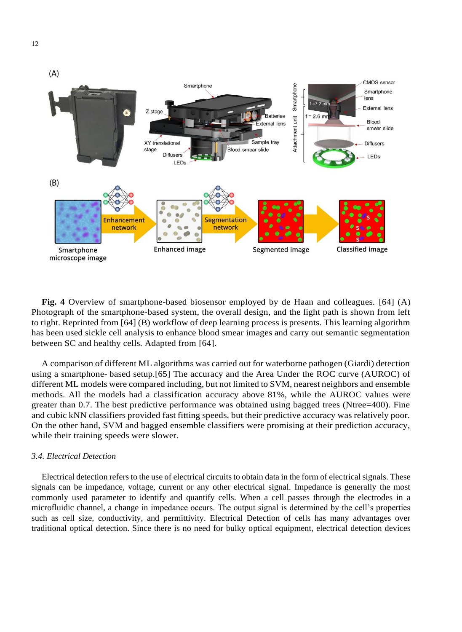

**Fig. 4** Overview of smartphone-based biosensor employed by de Haan and colleagues. [64] (A) Photograph of the smartphone-based system, the overall design, and the light path is shown from left to right. Reprinted from [64] (B) workflow of deep learning process is presents. This learning algorithm has been used sickle cell analysis to enhance blood smear images and carry out semantic segmentation between SC and healthy cells. Adapted from [64].

A comparison of different ML algorithms was carried out for waterborne pathogen (Giardi) detection using a smartphone- based setup.[65] The accuracy and the Area Under the ROC curve (AUROC) of different ML models were compared including, but not limited to SVM, nearest neighbors and ensemble methods. All the models had a classification accuracy above 81%, while the AUROC values were greater than 0.7. The best predictive performance was obtained using bagged trees (Ntree=400). Fine and cubic kNN classifiers provided fast fitting speeds, but their predictive accuracy was relatively poor. On the other hand, SVM and bagged ensemble classifiers were promising at their prediction accuracy, while their training speeds were slower.

# *3.4. Electrical Detection*

Electrical detection refers to the use of electrical circuits to obtain data in the form of electrical signals. These signals can be impedance, voltage, current or any other electrical signal. Impedance is generally the most commonly used parameter to identify and quantify cells. When a cell passes through the electrodes in a microfluidic channel, a change in impedance occurs. The output signal is determined by the cell's properties such as cell size, conductivity, and permittivity. Electrical Detection of cells has many advantages over traditional optical detection. Since there is no need for bulky optical equipment, electrical detection devices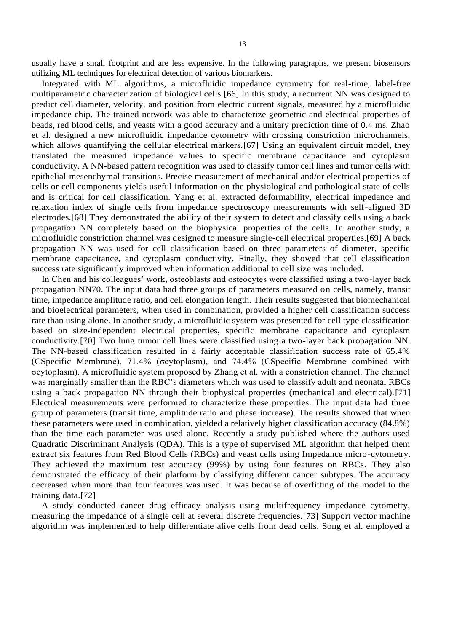usually have a small footprint and are less expensive. In the following paragraphs, we present biosensors utilizing ML techniques for electrical detection of various biomarkers.

Integrated with ML algorithms, a microfluidic impedance cytometry for real-time, label-free multiparametric characterization of biological cells.[66] In this study, a recurrent NN was designed to predict cell diameter, velocity, and position from electric current signals, measured by a microfluidic impedance chip. The trained network was able to characterize geometric and electrical properties of beads, red blood cells, and yeasts with a good accuracy and a unitary prediction time of 0.4 ms. Zhao et al. designed a new microfluidic impedance cytometry with crossing constriction microchannels, which allows quantifying the cellular electrical markers.[67] Using an equivalent circuit model, they translated the measured impedance values to specific membrane capacitance and cytoplasm conductivity. A NN-based pattern recognition was used to classify tumor cell lines and tumor cells with epithelial-mesenchymal transitions. Precise measurement of mechanical and/or electrical properties of cells or cell components yields useful information on the physiological and pathological state of cells and is critical for cell classification. Yang et al. extracted deformability, electrical impedance and relaxation index of single cells from impedance spectroscopy measurements with self-aligned 3D electrodes.[68] They demonstrated the ability of their system to detect and classify cells using a back propagation NN completely based on the biophysical properties of the cells. In another study, a microfluidic constriction channel was designed to measure single-cell electrical properties.[69] A back propagation NN was used for cell classification based on three parameters of diameter, specific membrane capacitance, and cytoplasm conductivity. Finally, they showed that cell classification success rate significantly improved when information additional to cell size was included.

In Chen and his colleagues' work, osteoblasts and osteocytes were classified using a two-layer back propagation NN70. The input data had three groups of parameters measured on cells, namely, transit time, impedance amplitude ratio, and cell elongation length. Their results suggested that biomechanical and bioelectrical parameters, when used in combination, provided a higher cell classification success rate than using alone. In another study, a microfluidic system was presented for cell type classification based on size-independent electrical properties, specific membrane capacitance and cytoplasm conductivity.[70] Two lung tumor cell lines were classified using a two-layer back propagation NN. The NN-based classification resulted in a fairly acceptable classification success rate of 65.4% (CSpecific Membrane), 71.4% (σcytoplasm), and 74.4% (CSpecific Membrane combined with σcytoplasm). A microfluidic system proposed by Zhang et al. with a constriction channel. The channel was marginally smaller than the RBC's diameters which was used to classify adult and neonatal RBCs using a back propagation NN through their biophysical properties (mechanical and electrical).[71] Electrical measurements were performed to characterize these properties. The input data had three group of parameters (transit time, amplitude ratio and phase increase). The results showed that when these parameters were used in combination, yielded a relatively higher classification accuracy (84.8%) than the time each parameter was used alone. Recently a study published where the authors used Quadratic Discriminant Analysis (QDA). This is a type of supervised ML algorithm that helped them extract six features from Red Blood Cells (RBCs) and yeast cells using Impedance micro-cytometry. They achieved the maximum test accuracy (99%) by using four features on RBCs. They also demonstrated the efficacy of their platform by classifying different cancer subtypes. The accuracy decreased when more than four features was used. It was because of overfitting of the model to the training data.[72]

A study conducted cancer drug efficacy analysis using multifrequency impedance cytometry, measuring the impedance of a single cell at several discrete frequencies.[73] Support vector machine algorithm was implemented to help differentiate alive cells from dead cells. Song et al. employed a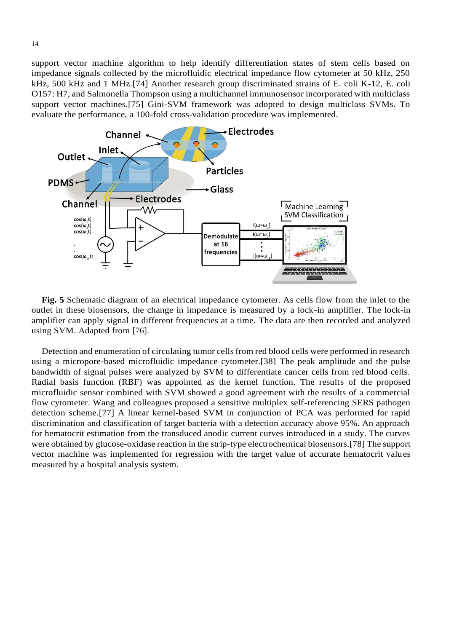support vector machine algorithm to help identify differentiation states of stem cells based on impedance signals collected by the microfluidic electrical impedance flow cytometer at 50 kHz, 250 kHz, 500 kHz and 1 MHz.[74] Another research group discriminated strains of E. coli K-12, E. coli O157: H7, and Salmonella Thompson using a multichannel immunosensor incorporated with multiclass support vector machines.[75] Gini-SVM framework was adopted to design multiclass SVMs. To evaluate the performance, a 100-fold cross-validation procedure was implemented.



**Fig. 5** Schematic diagram of an electrical impedance cytometer. As cells flow from the inlet to the outlet in these biosensors, the change in impedance is measured by a lock-in amplifier. The lock-in amplifier can apply signal in different frequencies at a time. The data are then recorded and analyzed using SVM. Adapted from [76].

Detection and enumeration of circulating tumor cells from red blood cells were performed in research using a micropore-based microfluidic impedance cytometer.[38] The peak amplitude and the pulse bandwidth of signal pulses were analyzed by SVM to differentiate cancer cells from red blood cells. Radial basis function (RBF) was appointed as the kernel function. The results of the proposed microfluidic sensor combined with SVM showed a good agreement with the results of a commercial flow cytometer. Wang and colleagues proposed a sensitive multiplex self-referencing SERS pathogen detection scheme.[77] A linear kernel-based SVM in conjunction of PCA was performed for rapid discrimination and classification of target bacteria with a detection accuracy above 95%. An approach for hematocrit estimation from the transduced anodic current curves introduced in a study. The curves were obtained by glucose-oxidase reaction in the strip-type electrochemical biosensors.[78] The support vector machine was implemented for regression with the target value of accurate hematocrit values measured by a hospital analysis system.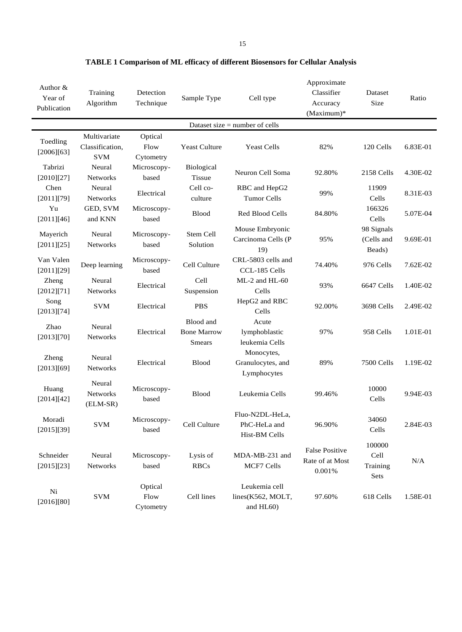| Author &<br>Year of<br>Publication | Training<br>Algorithm                         | Detection<br>Technique       | Sample Type                                      | Cell type                                        | Approximate<br>Classifier<br>Accuracy<br>$(Maximum)*$ | Dataset<br>Size                    | Ratio    |
|------------------------------------|-----------------------------------------------|------------------------------|--------------------------------------------------|--------------------------------------------------|-------------------------------------------------------|------------------------------------|----------|
|                                    |                                               |                              |                                                  | Dataset size $=$ number of cells                 |                                                       |                                    |          |
| Toedling<br>[2006][63]             | Multivariate<br>Classification,<br><b>SVM</b> | Optical<br>Flow<br>Cytometry | <b>Yeast Culture</b>                             | <b>Yeast Cells</b>                               | 82%                                                   | 120 Cells                          | 6.83E-01 |
| Tabrizi<br>[2010][27]              | Neural<br><b>Networks</b>                     | Microscopy-<br>based         | <b>Biological</b><br><b>Tissue</b>               | Neuron Cell Soma                                 | 92.80%                                                | 2158 Cells                         | 4.30E-02 |
| Chen<br>[2011][79]                 | Neural<br>Networks                            | Electrical                   | Cell co-<br>culture                              | RBC and HepG2<br><b>Tumor Cells</b>              | 99%                                                   | 11909<br>Cells                     | 8.31E-03 |
| Yu<br>[2011][46]                   | GED, SVM<br>and KNN                           | Microscopy-<br>based         | <b>Blood</b>                                     | Red Blood Cells                                  | 84.80%                                                | 166326<br>Cells                    | 5.07E-04 |
| Mayerich<br>[2011][25]             | Neural<br>Networks                            | Microscopy-<br>based         | Stem Cell<br>Solution                            | Mouse Embryonic<br>Carcinoma Cells (P<br>19)     | 95%                                                   | 98 Signals<br>(Cells and<br>Beads) | 9.69E-01 |
| Van Valen<br>[2011][29]            | Deep learning                                 | Microscopy-<br>based         | Cell Culture                                     | CRL-5803 cells and<br>CCL-185 Cells              | 74.40%                                                | 976 Cells                          | 7.62E-02 |
| Zheng<br>[2012][71]                | Neural<br><b>Networks</b>                     | Electrical                   | Cell<br>Suspension                               | ML-2 and HL-60<br>Cells                          | 93%                                                   | 6647 Cells                         | 1.40E-02 |
| Song<br>[2013][74]                 | <b>SVM</b>                                    | Electrical                   | <b>PBS</b>                                       | HepG2 and RBC<br>Cells                           | 92.00%                                                | 3698 Cells                         | 2.49E-02 |
| Zhao<br>[2013][70]                 | Neural<br><b>Networks</b>                     | Electrical                   | Blood and<br><b>Bone Marrow</b><br><b>Smears</b> | Acute<br>lymphoblastic<br>leukemia Cells         | 97%                                                   | 958 Cells                          | 1.01E-01 |
| Zheng<br>[2013][69]                | Neural<br>Networks                            | Electrical                   | Blood                                            | Monocytes,<br>Granulocytes, and<br>Lymphocytes   | 89%                                                   | 7500 Cells                         | 1.19E-02 |
| Huang<br>[2014][42]                | Neural<br>Networks<br>(ELM-SR)                | Microscopy-<br>based         | <b>Blood</b>                                     | Leukemia Cells                                   | 99.46%                                                | 10000<br>Cells                     | 9.94E-03 |
| Moradi<br>[2015][39]               | <b>SVM</b>                                    | Microscopy-<br>based         | Cell Culture                                     | Fluo-N2DL-HeLa,<br>PhC-HeLa and<br>Hist-BM Cells | 96.90%                                                | 34060<br>Cells                     | 2.84E-03 |
| Schneider<br>[2015][23]            | Neural<br><b>Networks</b>                     | Microscopy-<br>based         | Lysis of<br><b>RBCs</b>                          | MDA-MB-231 and<br><b>MCF7 Cells</b>              | <b>False Positive</b><br>Rate of at Most<br>0.001%    | 100000<br>Cell<br>Training<br>Sets | N/A      |
| Ni<br>[2016][80]                   | <b>SVM</b>                                    | Optical<br>Flow<br>Cytometry | Cell lines                                       | Leukemia cell<br>lines(K562, MOLT,<br>and HL60)  | 97.60%                                                | 618 Cells                          | 1.58E-01 |

**TABLE 1 Comparison of ML efficacy of different Biosensors for Cellular Analysis**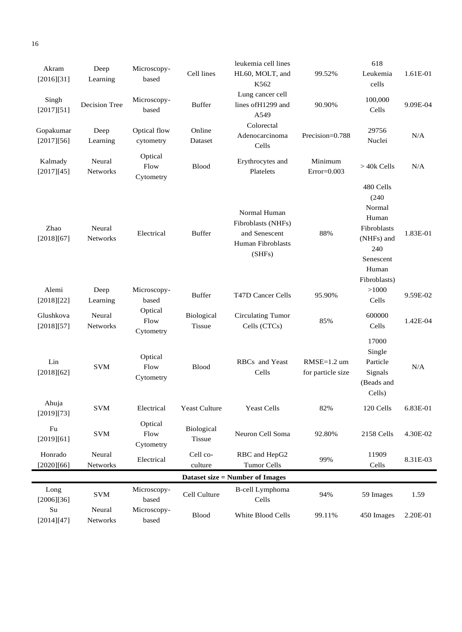| Akram                                  | Deep               | Microscopy-                  |                             | leukemia cell lines                                                                |                                    | 618                                                                                                             |          |  |
|----------------------------------------|--------------------|------------------------------|-----------------------------|------------------------------------------------------------------------------------|------------------------------------|-----------------------------------------------------------------------------------------------------------------|----------|--|
| [2016][31]                             | Learning           | based                        | Cell lines                  | HL60, MOLT, and<br>K562                                                            | 99.52%                             | Leukemia<br>cells                                                                                               | 1.61E-01 |  |
| Singh<br>[2017][51]                    | Decision Tree      | Microscopy-<br>based         | <b>Buffer</b>               | Lung cancer cell<br>lines of H1299 and<br>A549                                     | 90.90%                             | 100,000<br>Cells                                                                                                | 9.09E-04 |  |
| Gopakumar<br>[2017][56]                | Deep<br>Learning   | Optical flow<br>cytometry    | Online<br>Dataset           | Colorectal<br>Adenocarcinoma<br>Cells                                              | Precision=0.788                    | 29756<br>Nuclei                                                                                                 | N/A      |  |
| Kalmady<br>[2017][45]                  | Neural<br>Networks | Optical<br>Flow<br>Cytometry | <b>Blood</b>                | Erythrocytes and<br>Platelets                                                      | Minimum<br>$Error=0.003$           | $>$ 40 $k$ Cells                                                                                                | N/A      |  |
| Zhao<br>[2018][67]                     | Neural<br>Networks | Electrical                   | <b>Buffer</b>               | Normal Human<br>Fibroblasts (NHFs)<br>and Senescent<br>Human Fibroblasts<br>(SHFs) | 88%                                | 480 Cells<br>(240)<br>Normal<br>Human<br>Fibroblasts<br>(NHFs) and<br>240<br>Senescent<br>Human<br>Fibroblasts) | 1.83E-01 |  |
| Alemi<br>[2018][22]                    | Deep<br>Learning   | Microscopy-<br>based         | <b>Buffer</b>               | T47D Cancer Cells                                                                  | 95.90%                             | >1000<br>Cells                                                                                                  | 9.59E-02 |  |
| Glushkova<br>[2018][57]                | Neural<br>Networks | Optical<br>Flow<br>Cytometry | Biological<br><b>Tissue</b> | <b>Circulating Tumor</b><br>Cells (CTCs)                                           | 85%                                | 600000<br>Cells                                                                                                 | 1.42E-04 |  |
| Lin<br>[2018][62]                      | <b>SVM</b>         | Optical<br>Flow<br>Cytometry | <b>Blood</b>                | RBCs and Yeast<br>Cells                                                            | $RMSE=1.2$ um<br>for particle size | 17000<br>Single<br>Particle<br>Signals<br>(Beads and<br>Cells)                                                  | N/A      |  |
| Ahuja<br>[2019][73]                    | <b>SVM</b>         | Electrical                   | <b>Yeast Culture</b>        | <b>Yeast Cells</b>                                                                 | 82%                                | 120 Cells                                                                                                       | 6.83E-01 |  |
| Fu<br>[2019][61]                       | <b>SVM</b>         | Optical<br>Flow<br>Cytometry | Biological<br><b>Tissue</b> | Neuron Cell Soma                                                                   | 92.80%                             | 2158 Cells                                                                                                      | 4.30E-02 |  |
| Honrado<br>[2020][66]                  | Neural<br>Networks | Electrical                   | Cell co-<br>culture         | RBC and HepG2<br><b>Tumor Cells</b>                                                | 99%                                | 11909<br>Cells                                                                                                  | 8.31E-03 |  |
| <b>Dataset size = Number of Images</b> |                    |                              |                             |                                                                                    |                                    |                                                                                                                 |          |  |
| Long<br>[2006][36]                     | <b>SVM</b>         | Microscopy-<br>based         | Cell Culture                | <b>B-cell Lymphoma</b><br>Cells                                                    | 94%                                | 59 Images                                                                                                       | 1.59     |  |
| Su<br>[2014][47]                       | Neural<br>Networks | Microscopy-<br>based         | <b>Blood</b>                | White Blood Cells                                                                  | 99.11%                             | 450 Images                                                                                                      | 2.20E-01 |  |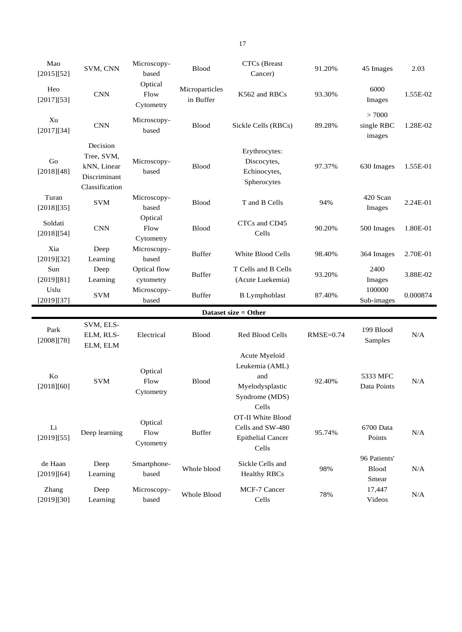| Mao<br>[2015][52]     | SVM, CNN                                                                | Microscopy-<br>based         | <b>Blood</b>                | CTCs (Breast<br>Cancer)                                                              | 91.20%      | 45 Images                     | 2.03     |
|-----------------------|-------------------------------------------------------------------------|------------------------------|-----------------------------|--------------------------------------------------------------------------------------|-------------|-------------------------------|----------|
| Heo<br>[2017][53]     | <b>CNN</b>                                                              | Optical<br>Flow<br>Cytometry | Microparticles<br>in Buffer | K562 and RBCs                                                                        | 93.30%      | 6000<br>Images                | 1.55E-02 |
| Xu<br>[2017][34]      | <b>CNN</b>                                                              | Microscopy-<br>based         | <b>Blood</b>                | Sickle Cells (RBCs)                                                                  | 89.28%      | >7000<br>single RBC<br>images | 1.28E-02 |
| Go<br>[2018][48]      | Decision<br>Tree, SVM,<br>kNN, Linear<br>Discriminant<br>Classification | Microscopy-<br>based         | <b>Blood</b>                | Erythrocytes:<br>Discocytes,<br>Echinocytes,<br>Spherocytes                          | 97.37%      | 630 Images                    | 1.55E-01 |
| Turan<br>[2018][35]   | <b>SVM</b>                                                              | Microscopy-<br>based         | <b>Blood</b>                | T and B Cells                                                                        | 94%         | 420 Scan<br>Images            | 2.24E-01 |
| Soldati<br>[2018][54] | <b>CNN</b>                                                              | Optical<br>Flow<br>Cytometry | Blood                       | CTCs and CD45<br>Cells                                                               | 90.20%      | 500 Images                    | 1.80E-01 |
| Xia<br>[2019][32]     | Deep<br>Learning                                                        | Microscopy-<br>based         | <b>Buffer</b>               | White Blood Cells                                                                    | 98.40%      | 364 Images                    | 2.70E-01 |
| Sun<br>[2019][81]     | Deep<br>Learning                                                        | Optical flow<br>cytometry    | <b>Buffer</b>               | T Cells and B Cells<br>(Acute Luekemia)                                              | 93.20%      | 2400<br>Images                | 3.88E-02 |
| Uslu<br>[2019][37]    | <b>SVM</b>                                                              | Microscopy-<br>based         | <b>Buffer</b>               | <b>B</b> Lymphoblast                                                                 | 87.40%      | 100000<br>Sub-images          | 0.000874 |
|                       |                                                                         |                              |                             | Dataset size = Other                                                                 |             |                               |          |
| Park<br>[2008][78]    | SVM, ELS-<br>ELM, RLS-<br>ELM, ELM                                      | Electrical                   | <b>Blood</b>                | <b>Red Blood Cells</b>                                                               | $RMSE=0.74$ | 199 Blood<br>Samples          | N/A      |
| Ko<br>[2018][60]      | <b>SVM</b>                                                              | Optical<br>Flow<br>Cytometry | <b>Blood</b>                | Acute Myeloid<br>Leukemia (AML)<br>and<br>Myelodysplastic<br>Syndrome (MDS)<br>Cells | 92.40%      | 5333 MFC<br>Data Points       | N/A      |
| Li<br>[2019][55]      | Deep learning                                                           | Optical<br>Flow<br>Cytometry | <b>Buffer</b>               | OT-II White Blood<br>Cells and SW-480<br><b>Epithelial Cancer</b><br>Cells           | 95.74%      | 6700 Data<br>Points           | N/A      |
| de Haan<br>[2019][64] | Deep                                                                    | Smartphone-                  | Whole blood                 | Sickle Cells and<br><b>Healthy RBCs</b>                                              | 98%         | 96 Patients'<br>Blood         | N/A      |
|                       | Learning                                                                | based                        |                             |                                                                                      |             | Smear                         |          |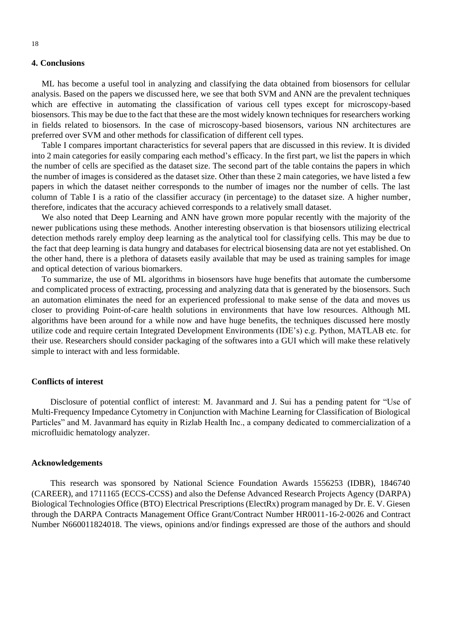### **4. Conclusions**

ML has become a useful tool in analyzing and classifying the data obtained from biosensors for cellular analysis. Based on the papers we discussed here, we see that both SVM and ANN are the prevalent techniques which are effective in automating the classification of various cell types except for microscopy-based biosensors. This may be due to the fact that these are the most widely known techniques for researchers working in fields related to biosensors. In the case of microscopy-based biosensors, various NN architectures are preferred over SVM and other methods for classification of different cell types.

Table I compares important characteristics for several papers that are discussed in this review. It is divided into 2 main categories for easily comparing each method's efficacy. In the first part, we list the papers in which the number of cells are specified as the dataset size. The second part of the table contains the papers in which the number of images is considered as the dataset size. Other than these 2 main categories, we have listed a few papers in which the dataset neither corresponds to the number of images nor the number of cells. The last column of Table I is a ratio of the classifier accuracy (in percentage) to the dataset size. A higher number, therefore, indicates that the accuracy achieved corresponds to a relatively small dataset.

We also noted that Deep Learning and ANN have grown more popular recently with the majority of the newer publications using these methods. Another interesting observation is that biosensors utilizing electrical detection methods rarely employ deep learning as the analytical tool for classifying cells. This may be due to the fact that deep learning is data hungry and databases for electrical biosensing data are not yet established. On the other hand, there is a plethora of datasets easily available that may be used as training samples for image and optical detection of various biomarkers.

To summarize, the use of ML algorithms in biosensors have huge benefits that automate the cumbersome and complicated process of extracting, processing and analyzing data that is generated by the biosensors. Such an automation eliminates the need for an experienced professional to make sense of the data and moves us closer to providing Point-of-care health solutions in environments that have low resources. Although ML algorithms have been around for a while now and have huge benefits, the techniques discussed here mostly utilize code and require certain Integrated Development Environments (IDE's) e.g. Python, MATLAB etc. for their use. Researchers should consider packaging of the softwares into a GUI which will make these relatively simple to interact with and less formidable.

#### **Conflicts of interest**

 Disclosure of potential conflict of interest: M. Javanmard and J. Sui has a pending patent for "Use of Multi-Frequency Impedance Cytometry in Conjunction with Machine Learning for Classification of Biological Particles" and M. Javanmard has equity in Rizlab Health Inc., a company dedicated to commercialization of a microfluidic hematology analyzer.

#### **Acknowledgements**

 This research was sponsored by National Science Foundation Awards 1556253 (IDBR), 1846740 (CAREER), and 1711165 (ECCS-CCSS) and also the Defense Advanced Research Projects Agency (DARPA) Biological Technologies Office (BTO) Electrical Prescriptions (ElectRx) program managed by Dr. E. V. Giesen through the DARPA Contracts Management Office Grant/Contract Number HR0011-16-2-0026 and Contract Number N660011824018. The views, opinions and/or findings expressed are those of the authors and should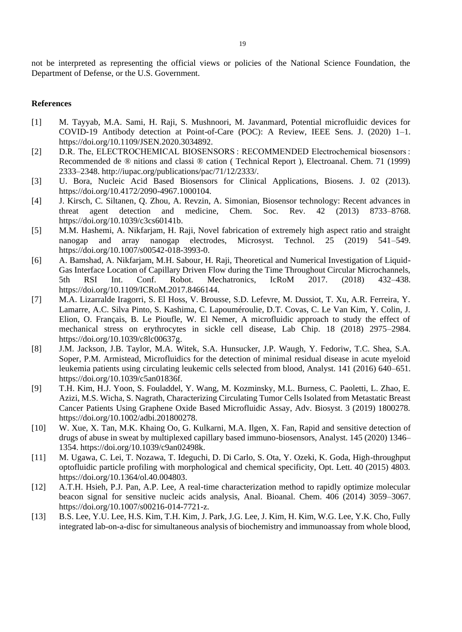not be interpreted as representing the official views or policies of the National Science Foundation, the Department of Defense, or the U.S. Government.

# **References**

- [1] M. Tayyab, M.A. Sami, H. Raji, S. Mushnoori, M. Javanmard, Potential microfluidic devices for COVID-19 Antibody detection at Point-of-Care (POC): A Review, IEEE Sens. J. (2020) 1–1. https://doi.org/10.1109/JSEN.2020.3034892.
- [2] D.R. The, ELECTROCHEMICAL BIOSENSORS : RECOMMENDED Electrochemical biosensors : Recommended de ® nitions and classi ® cation ( Technical Report ), Electroanal. Chem. 71 (1999) 2333–2348. http://iupac.org/publications/pac/71/12/2333/.
- [3] U. Bora, Nucleic Acid Based Biosensors for Clinical Applications, Biosens. J. 02 (2013). https://doi.org/10.4172/2090-4967.1000104.
- [4] J. Kirsch, C. Siltanen, Q. Zhou, A. Revzin, A. Simonian, Biosensor technology: Recent advances in threat agent detection and medicine, Chem. Soc. Rev. 42 (2013) 8733–8768. https://doi.org/10.1039/c3cs60141b.
- [5] M.M. Hashemi, A. Nikfarjam, H. Raji, Novel fabrication of extremely high aspect ratio and straight nanogap and array nanogap electrodes, Microsyst. Technol. 25 (2019) 541–549. https://doi.org/10.1007/s00542-018-3993-0.
- [6] A. Bamshad, A. Nikfarjam, M.H. Sabour, H. Raji, Theoretical and Numerical Investigation of Liquid-Gas Interface Location of Capillary Driven Flow during the Time Throughout Circular Microchannels, 5th RSI Int. Conf. Robot. Mechatronics, IcRoM 2017. (2018) 432–438. https://doi.org/10.1109/ICRoM.2017.8466144.
- [7] M.A. Lizarralde Iragorri, S. El Hoss, V. Brousse, S.D. Lefevre, M. Dussiot, T. Xu, A.R. Ferreira, Y. Lamarre, A.C. Silva Pinto, S. Kashima, C. Lapouméroulie, D.T. Covas, C. Le Van Kim, Y. Colin, J. Elion, O. Français, B. Le Pioufle, W. El Nemer, A microfluidic approach to study the effect of mechanical stress on erythrocytes in sickle cell disease, Lab Chip. 18 (2018) 2975–2984. https://doi.org/10.1039/c8lc00637g.
- [8] J.M. Jackson, J.B. Taylor, M.A. Witek, S.A. Hunsucker, J.P. Waugh, Y. Fedoriw, T.C. Shea, S.A. Soper, P.M. Armistead, Microfluidics for the detection of minimal residual disease in acute myeloid leukemia patients using circulating leukemic cells selected from blood, Analyst. 141 (2016) 640–651. https://doi.org/10.1039/c5an01836f.
- [9] T.H. Kim, H.J. Yoon, S. Fouladdel, Y. Wang, M. Kozminsky, M.L. Burness, C. Paoletti, L. Zhao, E. Azizi, M.S. Wicha, S. Nagrath, Characterizing Circulating Tumor Cells Isolated from Metastatic Breast Cancer Patients Using Graphene Oxide Based Microfluidic Assay, Adv. Biosyst. 3 (2019) 1800278. https://doi.org/10.1002/adbi.201800278.
- [10] W. Xue, X. Tan, M.K. Khaing Oo, G. Kulkarni, M.A. Ilgen, X. Fan, Rapid and sensitive detection of drugs of abuse in sweat by multiplexed capillary based immuno-biosensors, Analyst. 145 (2020) 1346– 1354. https://doi.org/10.1039/c9an02498k.
- [11] M. Ugawa, C. Lei, T. Nozawa, T. Ideguchi, D. Di Carlo, S. Ota, Y. Ozeki, K. Goda, High-throughput optofluidic particle profiling with morphological and chemical specificity, Opt. Lett. 40 (2015) 4803. https://doi.org/10.1364/ol.40.004803.
- [12] A.T.H. Hsieh, P.J. Pan, A.P. Lee, A real-time characterization method to rapidly optimize molecular beacon signal for sensitive nucleic acids analysis, Anal. Bioanal. Chem. 406 (2014) 3059–3067. https://doi.org/10.1007/s00216-014-7721-z.
- [13] B.S. Lee, Y.U. Lee, H.S. Kim, T.H. Kim, J. Park, J.G. Lee, J. Kim, H. Kim, W.G. Lee, Y.K. Cho, Fully integrated lab-on-a-disc for simultaneous analysis of biochemistry and immunoassay from whole blood,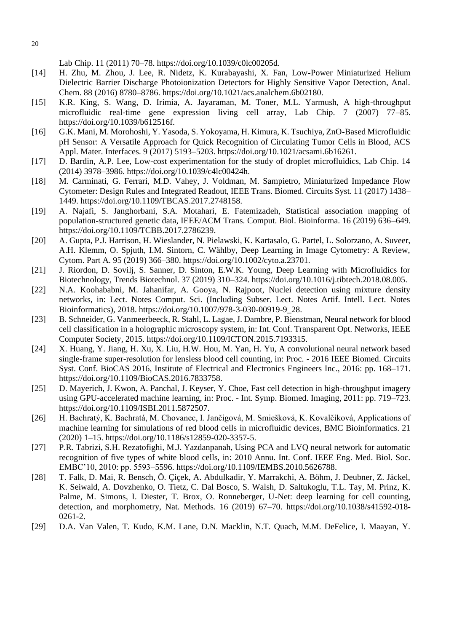Lab Chip. 11 (2011) 70–78. https://doi.org/10.1039/c0lc00205d.

- [14] H. Zhu, M. Zhou, J. Lee, R. Nidetz, K. Kurabayashi, X. Fan, Low-Power Miniaturized Helium Dielectric Barrier Discharge Photoionization Detectors for Highly Sensitive Vapor Detection, Anal. Chem. 88 (2016) 8780–8786. https://doi.org/10.1021/acs.analchem.6b02180.
- [15] K.R. King, S. Wang, D. Irimia, A. Jayaraman, M. Toner, M.L. Yarmush, A high-throughput microfluidic real-time gene expression living cell array, Lab Chip. 7 (2007) 77–85. https://doi.org/10.1039/b612516f.
- [16] G.K. Mani, M. Morohoshi, Y. Yasoda, S. Yokoyama, H. Kimura, K. Tsuchiya, ZnO-Based Microfluidic pH Sensor: A Versatile Approach for Quick Recognition of Circulating Tumor Cells in Blood, ACS Appl. Mater. Interfaces. 9 (2017) 5193–5203. https://doi.org/10.1021/acsami.6b16261.
- [17] D. Bardin, A.P. Lee, Low-cost experimentation for the study of droplet microfluidics, Lab Chip. 14 (2014) 3978–3986. https://doi.org/10.1039/c4lc00424h.
- [18] M. Carminati, G. Ferrari, M.D. Vahey, J. Voldman, M. Sampietro, Miniaturized Impedance Flow Cytometer: Design Rules and Integrated Readout, IEEE Trans. Biomed. Circuits Syst. 11 (2017) 1438– 1449. https://doi.org/10.1109/TBCAS.2017.2748158.
- [19] A. Najafi, S. Janghorbani, S.A. Motahari, E. Fatemizadeh, Statistical association mapping of population-structured genetic data, IEEE/ACM Trans. Comput. Biol. Bioinforma. 16 (2019) 636–649. https://doi.org/10.1109/TCBB.2017.2786239.
- [20] A. Gupta, P.J. Harrison, H. Wieslander, N. Pielawski, K. Kartasalo, G. Partel, L. Solorzano, A. Suveer, A.H. Klemm, O. Spjuth, I.M. Sintorn, C. Wählby, Deep Learning in Image Cytometry: A Review, Cytom. Part A. 95 (2019) 366–380. https://doi.org/10.1002/cyto.a.23701.
- [21] J. Riordon, D. Sovilj, S. Sanner, D. Sinton, E.W.K. Young, Deep Learning with Microfluidics for Biotechnology, Trends Biotechnol. 37 (2019) 310–324. https://doi.org/10.1016/j.tibtech.2018.08.005.
- [22] N.A. Koohababni, M. Jahanifar, A. Gooya, N. Rajpoot, Nuclei detection using mixture density networks, in: Lect. Notes Comput. Sci. (Including Subser. Lect. Notes Artif. Intell. Lect. Notes Bioinformatics), 2018. https://doi.org/10.1007/978-3-030-00919-9\_28.
- [23] B. Schneider, G. Vanmeerbeeck, R. Stahl, L. Lagae, J. Dambre, P. Bienstman, Neural network for blood cell classification in a holographic microscopy system, in: Int. Conf. Transparent Opt. Networks, IEEE Computer Society, 2015. https://doi.org/10.1109/ICTON.2015.7193315.
- [24] X. Huang, Y. Jiang, H. Xu, X. Liu, H.W. Hou, M. Yan, H. Yu, A convolutional neural network based single-frame super-resolution for lensless blood cell counting, in: Proc. - 2016 IEEE Biomed. Circuits Syst. Conf. BioCAS 2016, Institute of Electrical and Electronics Engineers Inc., 2016: pp. 168–171. https://doi.org/10.1109/BioCAS.2016.7833758.
- [25] D. Mayerich, J. Kwon, A. Panchal, J. Keyser, Y. Choe, Fast cell detection in high-throughput imagery using GPU-accelerated machine learning, in: Proc. - Int. Symp. Biomed. Imaging, 2011: pp. 719–723. https://doi.org/10.1109/ISBI.2011.5872507.
- [26] H. Bachratý, K. Bachratá, M. Chovanec, I. Jančigová, M. Smiešková, K. Kovalčíková, Applications of machine learning for simulations of red blood cells in microfluidic devices, BMC Bioinformatics. 21 (2020) 1–15. https://doi.org/10.1186/s12859-020-3357-5.
- [27] P.R. Tabrizi, S.H. Rezatofighi, M.J. Yazdanpanah, Using PCA and LVQ neural network for automatic recognition of five types of white blood cells, in: 2010 Annu. Int. Conf. IEEE Eng. Med. Biol. Soc. EMBC'10, 2010: pp. 5593–5596. https://doi.org/10.1109/IEMBS.2010.5626788.
- [28] T. Falk, D. Mai, R. Bensch, Ö. Çiçek, A. Abdulkadir, Y. Marrakchi, A. Böhm, J. Deubner, Z. Jäckel, K. Seiwald, A. Dovzhenko, O. Tietz, C. Dal Bosco, S. Walsh, D. Saltukoglu, T.L. Tay, M. Prinz, K. Palme, M. Simons, I. Diester, T. Brox, O. Ronneberger, U-Net: deep learning for cell counting, detection, and morphometry, Nat. Methods. 16 (2019) 67–70. https://doi.org/10.1038/s41592-018- 0261-2.
- [29] D.A. Van Valen, T. Kudo, K.M. Lane, D.N. Macklin, N.T. Quach, M.M. DeFelice, I. Maayan, Y.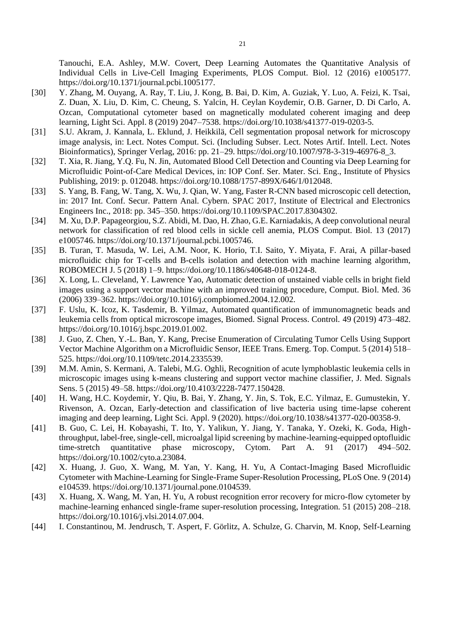Tanouchi, E.A. Ashley, M.W. Covert, Deep Learning Automates the Quantitative Analysis of Individual Cells in Live-Cell Imaging Experiments, PLOS Comput. Biol. 12 (2016) e1005177. https://doi.org/10.1371/journal.pcbi.1005177.

- [30] Y. Zhang, M. Ouyang, A. Ray, T. Liu, J. Kong, B. Bai, D. Kim, A. Guziak, Y. Luo, A. Feizi, K. Tsai, Z. Duan, X. Liu, D. Kim, C. Cheung, S. Yalcin, H. Ceylan Koydemir, O.B. Garner, D. Di Carlo, A. Ozcan, Computational cytometer based on magnetically modulated coherent imaging and deep learning, Light Sci. Appl. 8 (2019) 2047–7538. https://doi.org/10.1038/s41377-019-0203-5.
- [31] S.U. Akram, J. Kannala, L. Eklund, J. Heikkilä, Cell segmentation proposal network for microscopy image analysis, in: Lect. Notes Comput. Sci. (Including Subser. Lect. Notes Artif. Intell. Lect. Notes Bioinformatics), Springer Verlag, 2016: pp. 21–29. https://doi.org/10.1007/978-3-319-46976-8\_3.
- [32] T. Xia, R. Jiang, Y.Q. Fu, N. Jin, Automated Blood Cell Detection and Counting via Deep Learning for Microfluidic Point-of-Care Medical Devices, in: IOP Conf. Ser. Mater. Sci. Eng., Institute of Physics Publishing, 2019: p. 012048. https://doi.org/10.1088/1757-899X/646/1/012048.
- [33] S. Yang, B. Fang, W. Tang, X. Wu, J. Qian, W. Yang, Faster R-CNN based microscopic cell detection, in: 2017 Int. Conf. Secur. Pattern Anal. Cybern. SPAC 2017, Institute of Electrical and Electronics Engineers Inc., 2018: pp. 345–350. https://doi.org/10.1109/SPAC.2017.8304302.
- [34] M. Xu, D.P. Papageorgiou, S.Z. Abidi, M. Dao, H. Zhao, G.E. Karniadakis, A deep convolutional neural network for classification of red blood cells in sickle cell anemia, PLOS Comput. Biol. 13 (2017) e1005746. https://doi.org/10.1371/journal.pcbi.1005746.
- [35] B. Turan, T. Masuda, W. Lei, A.M. Noor, K. Horio, T.I. Saito, Y. Miyata, F. Arai, A pillar-based microfluidic chip for T-cells and B-cells isolation and detection with machine learning algorithm, ROBOMECH J. 5 (2018) 1–9. https://doi.org/10.1186/s40648-018-0124-8.
- [36] X. Long, L. Cleveland, Y. Lawrence Yao, Automatic detection of unstained viable cells in bright field images using a support vector machine with an improved training procedure, Comput. Biol. Med. 36 (2006) 339–362. https://doi.org/10.1016/j.compbiomed.2004.12.002.
- [37] F. Uslu, K. Icoz, K. Tasdemir, B. Yilmaz, Automated quantification of immunomagnetic beads and leukemia cells from optical microscope images, Biomed. Signal Process. Control. 49 (2019) 473–482. https://doi.org/10.1016/j.bspc.2019.01.002.
- [38] J. Guo, Z. Chen, Y.-L. Ban, Y. Kang, Precise Enumeration of Circulating Tumor Cells Using Support Vector Machine Algorithm on a Microfluidic Sensor, IEEE Trans. Emerg. Top. Comput. 5 (2014) 518– 525. https://doi.org/10.1109/tetc.2014.2335539.
- [39] M.M. Amin, S. Kermani, A. Talebi, M.G. Oghli, Recognition of acute lymphoblastic leukemia cells in microscopic images using k-means clustering and support vector machine classifier, J. Med. Signals Sens. 5 (2015) 49–58. https://doi.org/10.4103/2228-7477.150428.
- [40] H. Wang, H.C. Koydemir, Y. Qiu, B. Bai, Y. Zhang, Y. Jin, S. Tok, E.C. Yilmaz, E. Gumustekin, Y. Rivenson, A. Ozcan, Early-detection and classification of live bacteria using time-lapse coherent imaging and deep learning, Light Sci. Appl. 9 (2020). https://doi.org/10.1038/s41377-020-00358-9.
- [41] B. Guo, C. Lei, H. Kobayashi, T. Ito, Y. Yalikun, Y. Jiang, Y. Tanaka, Y. Ozeki, K. Goda, Highthroughput, label-free, single-cell, microalgal lipid screening by machine-learning-equipped optofluidic time-stretch quantitative phase microscopy, Cytom. Part A. 91 (2017) 494–502. time-stretch quantitative phase microscopy, Cytom. Part A. 91 https://doi.org/10.1002/cyto.a.23084.
- [42] X. Huang, J. Guo, X. Wang, M. Yan, Y. Kang, H. Yu, A Contact-Imaging Based Microfluidic Cytometer with Machine-Learning for Single-Frame Super-Resolution Processing, PLoS One. 9 (2014) e104539. https://doi.org/10.1371/journal.pone.0104539.
- [43] X. Huang, X. Wang, M. Yan, H. Yu, A robust recognition error recovery for micro-flow cytometer by machine-learning enhanced single-frame super-resolution processing, Integration. 51 (2015) 208–218. https://doi.org/10.1016/j.vlsi.2014.07.004.
- [44] I. Constantinou, M. Jendrusch, T. Aspert, F. Görlitz, A. Schulze, G. Charvin, M. Knop, Self-Learning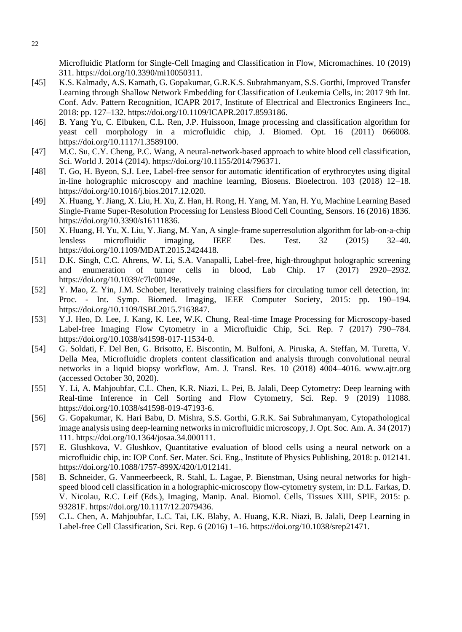Microfluidic Platform for Single-Cell Imaging and Classification in Flow, Micromachines. 10 (2019) 311. https://doi.org/10.3390/mi10050311.

- [45] K.S. Kalmady, A.S. Kamath, G. Gopakumar, G.R.K.S. Subrahmanyam, S.S. Gorthi, Improved Transfer Learning through Shallow Network Embedding for Classification of Leukemia Cells, in: 2017 9th Int. Conf. Adv. Pattern Recognition, ICAPR 2017, Institute of Electrical and Electronics Engineers Inc., 2018: pp. 127–132. https://doi.org/10.1109/ICAPR.2017.8593186.
- [46] B. Yang Yu, C. Elbuken, C.L. Ren, J.P. Huissoon, Image processing and classification algorithm for yeast cell morphology in a microfluidic chip, J. Biomed. Opt. 16 (2011) 066008. https://doi.org/10.1117/1.3589100.
- [47] M.C. Su, C.Y. Cheng, P.C. Wang, A neural-network-based approach to white blood cell classification, Sci. World J. 2014 (2014). https://doi.org/10.1155/2014/796371.
- [48] T. Go, H. Byeon, S.J. Lee, Label-free sensor for automatic identification of erythrocytes using digital in-line holographic microscopy and machine learning, Biosens. Bioelectron. 103 (2018) 12–18. https://doi.org/10.1016/j.bios.2017.12.020.
- [49] X. Huang, Y. Jiang, X. Liu, H. Xu, Z. Han, H. Rong, H. Yang, M. Yan, H. Yu, Machine Learning Based Single-Frame Super-Resolution Processing for Lensless Blood Cell Counting, Sensors. 16 (2016) 1836. https://doi.org/10.3390/s16111836.
- [50] X. Huang, H. Yu, X. Liu, Y. Jiang, M. Yan, A single-frame superresolution algorithm for lab-on-a-chip lensless microfluidic imaging, IEEE Des. Test. 32 (2015) 32–40. https://doi.org/10.1109/MDAT.2015.2424418.
- [51] D.K. Singh, C.C. Ahrens, W. Li, S.A. Vanapalli, Label-free, high-throughput holographic screening and enumeration of tumor cells in blood, Lab Chip. 17 (2017) 2920–2932. https://doi.org/10.1039/c7lc00149e.
- [52] Y. Mao, Z. Yin, J.M. Schober, Iteratively training classifiers for circulating tumor cell detection, in: Proc. - Int. Symp. Biomed. Imaging, IEEE Computer Society, 2015: pp. 190–194. https://doi.org/10.1109/ISBI.2015.7163847.
- [53] Y.J. Heo, D. Lee, J. Kang, K. Lee, W.K. Chung, Real-time Image Processing for Microscopy-based Label-free Imaging Flow Cytometry in a Microfluidic Chip, Sci. Rep. 7 (2017) 790–784. https://doi.org/10.1038/s41598-017-11534-0.
- [54] G. Soldati, F. Del Ben, G. Brisotto, E. Biscontin, M. Bulfoni, A. Piruska, A. Steffan, M. Turetta, V. Della Mea, Microfluidic droplets content classification and analysis through convolutional neural networks in a liquid biopsy workflow, Am. J. Transl. Res. 10 (2018) 4004–4016. www.ajtr.org (accessed October 30, 2020).
- [55] Y. Li, A. Mahjoubfar, C.L. Chen, K.R. Niazi, L. Pei, B. Jalali, Deep Cytometry: Deep learning with Real-time Inference in Cell Sorting and Flow Cytometry, Sci. Rep. 9 (2019) 11088. https://doi.org/10.1038/s41598-019-47193-6.
- [56] G. Gopakumar, K. Hari Babu, D. Mishra, S.S. Gorthi, G.R.K. Sai Subrahmanyam, Cytopathological image analysis using deep-learning networks in microfluidic microscopy, J. Opt. Soc. Am. A. 34 (2017) 111. https://doi.org/10.1364/josaa.34.000111.
- [57] E. Glushkova, V. Glushkov, Quantitative evaluation of blood cells using a neural network on a microfluidic chip, in: IOP Conf. Ser. Mater. Sci. Eng., Institute of Physics Publishing, 2018: p. 012141. https://doi.org/10.1088/1757-899X/420/1/012141.
- [58] B. Schneider, G. Vanmeerbeeck, R. Stahl, L. Lagae, P. Bienstman, Using neural networks for highspeed blood cell classification in a holographic-microscopy flow-cytometry system, in: D.L. Farkas, D. V. Nicolau, R.C. Leif (Eds.), Imaging, Manip. Anal. Biomol. Cells, Tissues XIII, SPIE, 2015: p. 93281F. https://doi.org/10.1117/12.2079436.
- [59] C.L. Chen, A. Mahjoubfar, L.C. Tai, I.K. Blaby, A. Huang, K.R. Niazi, B. Jalali, Deep Learning in Label-free Cell Classification, Sci. Rep. 6 (2016) 1–16. https://doi.org/10.1038/srep21471.

22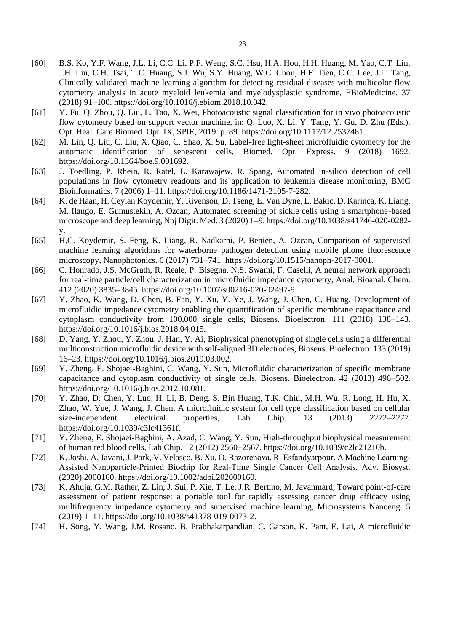- [60] B.S. Ko, Y.F. Wang, J.L. Li, C.C. Li, P.F. Weng, S.C. Hsu, H.A. Hou, H.H. Huang, M. Yao, C.T. Lin, J.H. Liu, C.H. Tsai, T.C. Huang, S.J. Wu, S.Y. Huang, W.C. Chou, H.F. Tien, C.C. Lee, J.L. Tang, Clinically validated machine learning algorithm for detecting residual diseases with multicolor flow cytometry analysis in acute myeloid leukemia and myelodysplastic syndrome, EBioMedicine. 37 (2018) 91–100. https://doi.org/10.1016/j.ebiom.2018.10.042.
- [61] Y. Fu, Q. Zhou, Q. Liu, L. Tao, X. Wei, Photoacoustic signal classification for in vivo photoacoustic flow cytometry based on support vector machine, in: Q. Luo, X. Li, Y. Tang, Y. Gu, D. Zhu (Eds.), Opt. Heal. Care Biomed. Opt. IX, SPIE, 2019: p. 89. https://doi.org/10.1117/12.2537481.
- [62] M. Lin, Q. Liu, C. Liu, X. Qiao, C. Shao, X. Su, Label-free light-sheet microfluidic cytometry for the automatic identification of senescent cells, Biomed. Opt. Express. 9 (2018) 1692. https://doi.org/10.1364/boe.9.001692.
- [63] J. Toedling, P. Rhein, R. Ratel, L. Karawajew, R. Spang, Automated in-silico detection of cell populations in flow cytometry readouts and its application to leukemia disease monitoring, BMC Bioinformatics. 7 (2006) 1–11. https://doi.org/10.1186/1471-2105-7-282.
- [64] K. de Haan, H. Ceylan Koydemir, Y. Rivenson, D. Tseng, E. Van Dyne, L. Bakic, D. Karinca, K. Liang, M. Ilango, E. Gumustekin, A. Ozcan, Automated screening of sickle cells using a smartphone-based microscope and deep learning, Npj Digit. Med. 3 (2020) 1–9. https://doi.org/10.1038/s41746-020-0282 y.
- [65] H.C. Koydemir, S. Feng, K. Liang, R. Nadkarni, P. Benien, A. Ozcan, Comparison of supervised machine learning algorithms for waterborne pathogen detection using mobile phone fluorescence microscopy, Nanophotonics. 6 (2017) 731–741. https://doi.org/10.1515/nanoph-2017-0001.
- [66] C. Honrado, J.S. McGrath, R. Reale, P. Bisegna, N.S. Swami, F. Caselli, A neural network approach for real-time particle/cell characterization in microfluidic impedance cytometry, Anal. Bioanal. Chem. 412 (2020) 3835–3845. https://doi.org/10.1007/s00216-020-02497-9.
- [67] Y. Zhao, K. Wang, D. Chen, B. Fan, Y. Xu, Y. Ye, J. Wang, J. Chen, C. Huang, Development of microfluidic impedance cytometry enabling the quantification of specific membrane capacitance and cytoplasm conductivity from 100,000 single cells, Biosens. Bioelectron. 111 (2018) 138–143. https://doi.org/10.1016/j.bios.2018.04.015.
- [68] D. Yang, Y. Zhou, Y. Zhou, J. Han, Y. Ai, Biophysical phenotyping of single cells using a differential multiconstriction microfluidic device with self-aligned 3D electrodes, Biosens. Bioelectron. 133 (2019) 16–23. https://doi.org/10.1016/j.bios.2019.03.002.
- [69] Y. Zheng, E. Shojaei-Baghini, C. Wang, Y. Sun, Microfluidic characterization of specific membrane capacitance and cytoplasm conductivity of single cells, Biosens. Bioelectron. 42 (2013) 496–502. https://doi.org/10.1016/j.bios.2012.10.081.
- [70] Y. Zhao, D. Chen, Y. Luo, H. Li, B. Deng, S. Bin Huang, T.K. Chiu, M.H. Wu, R. Long, H. Hu, X. Zhao, W. Yue, J. Wang, J. Chen, A microfluidic system for cell type classification based on cellular size-independent electrical properties, Lab Chip. 13 (2013) 2272–2277. https://doi.org/10.1039/c3lc41361f.
- [71] Y. Zheng, E. Shojaei-Baghini, A. Azad, C. Wang, Y. Sun, High-throughput biophysical measurement of human red blood cells, Lab Chip. 12 (2012) 2560–2567. https://doi.org/10.1039/c2lc21210b.
- [72] K. Joshi, A. Javani, J. Park, V. Velasco, B. Xu, O. Razorenova, R. Esfandyarpour, A Machine Learning‐ Assisted Nanoparticle‐Printed Biochip for Real‐Time Single Cancer Cell Analysis, Adv. Biosyst. (2020) 2000160. https://doi.org/10.1002/adbi.202000160.
- [73] K. Ahuja, G.M. Rather, Z. Lin, J. Sui, P. Xie, T. Le, J.R. Bertino, M. Javanmard, Toward point-of-care assessment of patient response: a portable tool for rapidly assessing cancer drug efficacy using multifrequency impedance cytometry and supervised machine learning, Microsystems Nanoeng. 5 (2019) 1–11. https://doi.org/10.1038/s41378-019-0073-2.
- [74] H. Song, Y. Wang, J.M. Rosano, B. Prabhakarpandian, C. Garson, K. Pant, E. Lai, A microfluidic